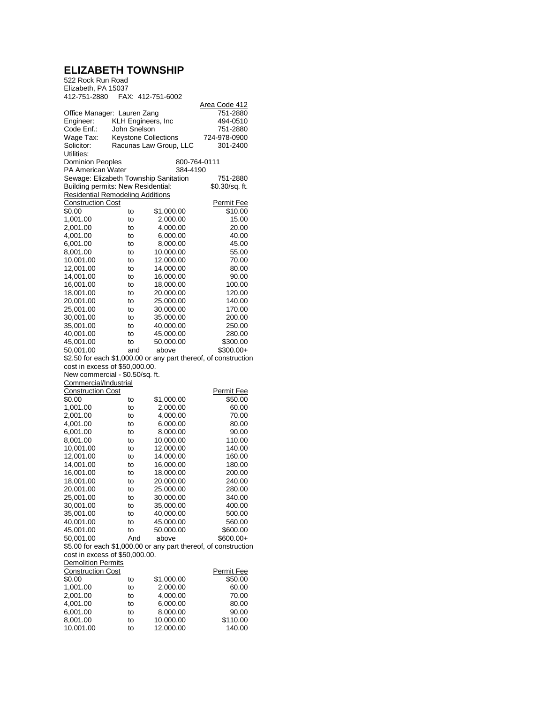## **ELIZABETH TOWNSHIP**

| 522 Rock Run Road                                        |                     |                             |                                                                 |
|----------------------------------------------------------|---------------------|-----------------------------|-----------------------------------------------------------------|
| Elizabeth, PA 15037                                      |                     |                             |                                                                 |
| 412-751-2880                                             |                     | FAX: 412-751-6002           |                                                                 |
|                                                          |                     |                             | <u> Area Code 412</u>                                           |
| Office Manager: Lauren Zang                              |                     |                             | 751-2880                                                        |
| Engineer:                                                | KLH Engineers, Inc. |                             | 494-0510                                                        |
| Code Enf.:                                               | John Snelson        |                             | 751-2880                                                        |
| Wage Tax:                                                |                     | <b>Keystone Collections</b> | 724-978-0900                                                    |
| Solicitor:                                               |                     | Racunas Law Group, LLC      | 301-2400                                                        |
| Utilities:                                               |                     |                             |                                                                 |
| <b>Dominion Peoples</b>                                  |                     |                             | 800-764-0111                                                    |
| <b>PA American Water</b>                                 |                     | 384-4190                    |                                                                 |
| Sewage: Elizabeth Township Sanitation                    |                     |                             | 751-2880                                                        |
| Building permits: New Residential:                       |                     |                             | \$0.30/sq. ft.                                                  |
| <b>Residential Remodeling Additions</b>                  |                     |                             |                                                                 |
| <b>Construction Cost</b>                                 |                     |                             | <u>Permit Fee</u>                                               |
| \$0.00                                                   | to                  | \$1,000.00                  | \$10.00                                                         |
| 1,001.00                                                 | to                  | 2,000.00                    | 15.00                                                           |
| 2,001.00                                                 | to                  | 4,000.00                    | 20.00                                                           |
| 4,001.00                                                 | to                  | 6,000.00                    | 40.00                                                           |
| 6,001.00                                                 | to                  | 8,000.00                    | 45.00                                                           |
| 8,001.00                                                 | to                  | 10,000.00                   | 55.00                                                           |
| 10,001.00                                                | to                  | 12,000.00                   | 70.00                                                           |
| 12,001.00                                                | to                  | 14,000.00                   | 80.00                                                           |
| 14,001.00                                                | to                  | 16,000.00                   | 90.00                                                           |
| 16,001.00                                                | to                  | 18,000.00                   | 100.00                                                          |
| 18,001.00                                                | to                  | 20,000.00                   | 120.00                                                          |
| 20,001.00                                                | to                  | 25,000.00                   | 140.00                                                          |
| 25,001.00                                                | to                  | 30,000.00                   | 170.00                                                          |
| 30,001.00                                                | to                  | 35,000.00                   | 200.00                                                          |
| 35,001.00                                                | to                  | 40,000.00                   | 250.00                                                          |
| 40,001.00                                                | to                  | 45,000.00                   | 280.00                                                          |
| 45,001.00                                                | to                  | 50,000.00                   | \$300.00                                                        |
| 50,001.00                                                | and                 | above                       | \$300.00+                                                       |
|                                                          |                     |                             | \$2.50 for each \$1,000.00 or any part thereof, of construction |
| cost in excess of \$50,000.00.                           |                     |                             |                                                                 |
| New commercial - \$0.50/sq. ft.<br>Commercial/Industrial |                     |                             |                                                                 |
| <b>Construction Cost</b>                                 |                     |                             | <b>Permit Fee</b>                                               |
| \$0.00                                                   | to                  | \$1,000.00                  | \$50.00                                                         |
| 1,001.00                                                 | to                  | 2,000.00                    | 60.00                                                           |
| 2,001.00                                                 | to                  | 4,000.00                    | 70.00                                                           |
| 4,001.00                                                 | to                  | 6,000.00                    | 80.00                                                           |
| 6,001.00                                                 | to                  | 8,000.00                    | 90.00                                                           |
| 8,001.00                                                 | to                  | 10,000.00                   | 110.00                                                          |
| 10,001.00                                                |                     | 12,000.00                   | 140.00                                                          |
| 12,001.00                                                | to<br>to            | 14,000.00                   | 160.00                                                          |
| 14,001.00                                                | to                  | 16,000.00                   | 180.00                                                          |
|                                                          |                     | 18,000.00                   |                                                                 |
| 16,001.00<br>18,001.00                                   | to<br>to            | 20,000.00                   | 200.00<br>240.00                                                |
|                                                          |                     |                             | 280.00                                                          |
| 20,001.00                                                | to                  | 25,000.00                   |                                                                 |
| 25,001.00                                                | to                  | 30,000.00                   | 340.00                                                          |
| 30,001.00                                                | to                  | 35,000.00<br>40,000.00      | 400.00                                                          |
| 35,001.00                                                | to                  |                             | 500.00                                                          |
| 40,001.00                                                | to                  | 45,000.00                   | 560.00                                                          |
| 45.001.00                                                | to                  | 50,000.00                   | \$600.00                                                        |
| 50,001.00                                                | And                 | above                       | $$600.00+$                                                      |
|                                                          |                     |                             | \$5.00 for each \$1,000.00 or any part thereof, of construction |
| cost in excess of \$50,000.00.                           |                     |                             |                                                                 |
| <b>Demolition Permits</b>                                |                     |                             |                                                                 |
| <b>Construction Cost</b>                                 |                     |                             | <b>Permit Fee</b>                                               |
| \$0.00                                                   | to                  | \$1,000.00                  | \$50.00                                                         |
| 1,001.00                                                 | to                  | 2,000.00                    | 60.00                                                           |
| 2,001.00                                                 | to                  | 4,000.00                    | 70.00                                                           |
| 4,001.00                                                 | to                  | 6,000.00                    | 80.00                                                           |
| 6,001.00                                                 | to                  | 8,000.00                    | 90.00                                                           |
| 8,001.00                                                 | to                  | 10,000.00                   | \$110.00                                                        |
| 10,001.00                                                | to                  | 12,000.00                   | 140.00                                                          |
|                                                          |                     |                             |                                                                 |